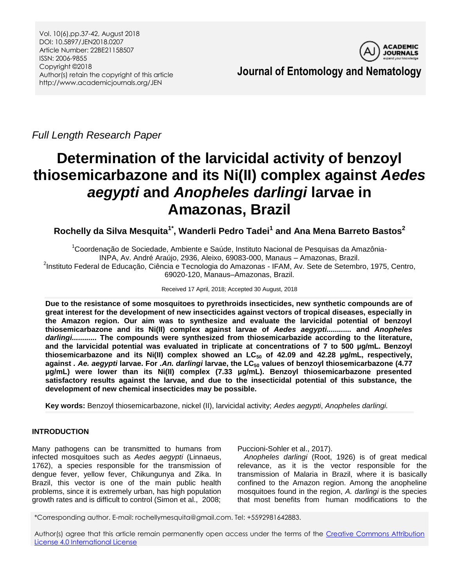

**Journal of Entomology and Nematology**

*Full Length Research Paper*

# **Determination of the larvicidal activity of benzoyl thiosemicarbazone and its Ni(II) complex against** *Aedes aegypti* **and** *Anopheles darlingi* **larvae in Amazonas, Brazil**

**Rochelly da Silva Mesquita1\*, Wanderli Pedro Tadei<sup>1</sup> and Ana Mena Barreto Bastos<sup>2</sup>**

<sup>1</sup>Coordenação de Sociedade, Ambiente e Saúde, Instituto Nacional de Pesquisas da Amazônia-INPA, Av. André Araújo, 2936, Aleixo, 69083-000, Manaus – Amazonas, Brazil.

<sup>2</sup>Instituto Federal de Educação, Ciência e Tecnologia do Amazonas - IFAM, Av. Sete de Setembro, 1975, Centro, 69020-120, Manaus–Amazonas, Brazil.

Received 17 April, 2018; Accepted 30 August, 2018

**Due to the resistance of some mosquitoes to pyrethroids insecticides, new synthetic compounds are of great interest for the development of new insecticides against vectors of tropical diseases, especially in the Amazon region. Our aim was to synthesize and evaluate the larvicidal potential of benzoyl thiosemicarbazone and its Ni(II) complex against larvae of** *Aedes aegypti............* **and** *Anopheles darlingi............* **The compounds were synthesized from thiosemicarbazide according to the literature, and the larvicidal potential was evaluated in triplicate at concentrations of 7 to 500 µg/mL. Benzoyl thiosemicarbazone and its Ni(II) complex showed an LC<sup>50</sup> of 42.09 and 42.28 µg/mL, respectively, against** *. Ae. aegypti* **larvae. For** *.An. darlingi* **larvae, the LC<sup>50</sup> values of benzoyl thiosemicarbazone (4.77 µg/mL) were lower than its Ni(II) complex (7.33 µg/mL). Benzoyl thiosemicarbazone presented satisfactory results against the larvae, and due to the insecticidal potential of this substance, the development of new chemical insecticides may be possible.**

**Key words:** Benzoyl thiosemicarbazone, nickel (II), larvicidal activity; *Aedes aegypti*, *Anopheles darlingi.*

# **INTRODUCTION**

Many pathogens can be transmitted to humans from infected mosquitoes such as *Aedes aegypti* (Linnaeus, 1762), a species responsible for the transmission of dengue fever, yellow fever, Chikungunya and Zika. In Brazil, this vector is one of the main public health problems, since it is extremely urban, has high population growth rates and is difficult to control (Simon et al., 2008; Puccioni-Sohler et al., 2017).

*Anopheles darlingi* (Root, 1926) is of great medical relevance, as it is the vector responsible for the transmission of Malaria in Brazil, where it is basically confined to the Amazon region. Among the anopheline mosquitoes found in the region, *A. darlingi* is the species that most benefits from human modifications to the

\*Corresponding author. E-mail: rochellymesquita@gmail.com. Tel: +5592981642883.

Author(s) agree that this article remain permanently open access under the terms of the Creative Commons Attribution [License 4.0 International License](http://creativecommons.org/licenses/by/4.0/deed.en_US)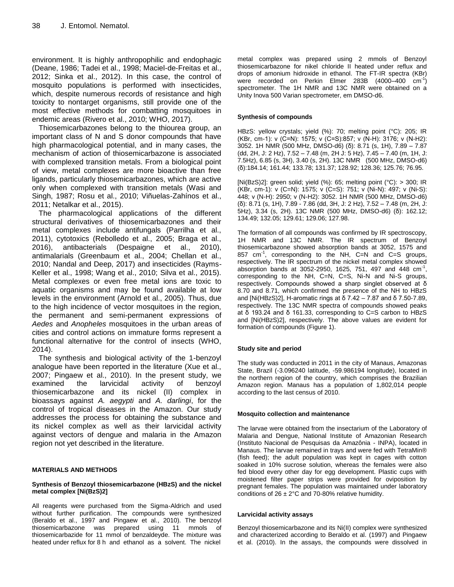environment. It is highly anthropophilic and endophagic (Deane, 1986; Tadei et al., 1998; Maciel-de-Freitas et al., 2012; Sinka et al., 2012). In this case, the control of mosquito populations is performed with insecticides, which, despite numerous records of resistance and high toxicity to nontarget organisms, still provide one of the most effective methods for combatting mosquitoes in endemic areas (Rivero et al., 2010; WHO, 2017).

Thiosemicarbazones belong to the thiourea group, an important class of N and S donor compounds that have high pharmacological potential, and in many cases, the mechanism of action of thiosemicarbazone is associated with complexed transition metals. From a biological point of view, metal complexes are more bioactive than free ligands, particularly thiosemicarbazones, which are active only when complexed with transition metals (Wasi and Singh, 1987; Rosu et al., 2010; Viñuelas-Zahínos et al., 2011; Netalkar et al., 2015).

The pharmacological applications of the different structural derivatives of thiosemicarbazones and their metal complexes include antifungals (Parrilha et al., 2011), cytotoxics (Rebolledo et al., 2005; Braga et al., 2016), antibacterials (Despaigne et al., 2010), antimalarials (Greenbaum et al., 2004; Chellan et al., 2010; Nandal and Deep, 2017) and insecticides (Rayms-Keller et al., 1998; Wang et al., 2010; Silva et al., 2015). Metal complexes or even free metal ions are toxic to aquatic organisms and may be found available at low levels in the environment (Arnold et al., 2005). Thus, due to the high incidence of vector mosquitoes in the region, the permanent and semi-permanent expressions of *Aedes* and *Anopheles* mosquitoes in the urban areas of cities and control actions on immature forms represent a functional alternative for the control of insects (WHO, 2014).

The synthesis and biological activity of the 1-benzoyl analogue have been reported in the literature (Xue et al., 2007; Pingaew et al., 2010). In the present study, we examined the larvicidal activity of benzoyl thiosemicarbazone and its nickel (II) complex in bioassays against *A. aegypti* and *A. darlingi*, for the control of tropical diseases in the Amazon. Our study addresses the process for obtaining the substance and its nickel complex as well as their larvicidal activity against vectors of dengue and malaria in the Amazon region not yet described in the literature.

## **MATERIALS AND METHODS**

#### **Synthesis of Benzoyl thiosemicarbazone (HBzS) and the nickel metal complex [Ni(BzS)2]**

All reagents were purchased from the Sigma-Aldrich and used without further purification. The compounds were synthesized (Beraldo et al., 1997 and Pingaew et al., 2010). The benzoyl thiosemicarbazone was prepared using 11 mmols of thiosemicarbazide for 11 mmol of benzaldeyde. The mixture was heated under reflux for 8 h and ethanol as a solvent. The nickel metal complex was prepared using 2 mmols of Benzoyl thiosemicarbazone for nikel chloride II heated under reflux and drops of amonium hidroxide in ethanol. The FT-IR spectra (KBr) were recorded on Perkin Elmer 283B (4000-400 cm<sup>-1</sup>) spectrometer. The 1H NMR and 13C NMR were obtained on a Unity Inova 500 Varian spectrometer, em DMSO-d6.

#### **Synthesis of compounds**

HBzS: yellow crystals; yield (%): 70; melting point (°C): 205; IR (KBr, cm-1): ν (C=N): 1575; ν (C=S):857; ν (N-H): 3176; ν (N-H2): 3052. 1H NMR (500 MHz, DMSO-d6) (δ): 8.71 (s, 1H), 7.89 – 7.87 (dd, 2H, J: 2 Hz), 7.52 – 7.48 (m, 2H J: 5 Hz), 7.45 – 7.40 (m, 1H, J: 7.5Hz), 6.85 (s, 3H), 3.40 (s, 2H). 13C NMR (500 MHz, DMSO-d6) (δ):184.14; 161.44; 133.78; 131.37; 128.92; 128.36; 125.76; 76.95.

[Ni(BzS)2]: green solid; yield (%): 65; melting point (°C): > 300; IR (KBr, cm-1): ν (C=N): 1575; ν (C=S): 751; ν (Ni-N): 497; ν (Ni-S): 448; ν (N-H): 2950; ν (N-H2): 3052. 1H NMR (500 MHz, DMSO-d6) (δ): 8.71 (s, 1H), 7.89 - 7.86 (dd, 3H, J: 2 Hz), 7.52 – 7.48 (m, 2H, J: 5Hz), 3.34 (s, 2H). 13C NMR (500 MHz, DMSO-d6) (δ): 162.12; 134.49; 132.05; 129.61; 129.06; 127.98.

The formation of all compounds was confirmed by IR spectroscopy, 1H NMR and 13C NMR. The IR spectrum of Benzoyl thiosemicarbazone showed absorption bands at 3052, 1575 and 857  $cm^{-1}$ , corresponding to the NH, C=N and C=S groups, respectively. The IR spectrum of the nickel metal complex showed absorption bands at 3052-2950, 1625, 751, 497 and 448  $cm^{-1}$ , corresponding to the NH, C=N, C=S, Ni-N and Ni-S groups, respectively. Compounds showed a sharp singlet observed at δ 8.70 and 8.71, which confirmed the presence of the NH to HBzS and [Ni(HBzS)2], H-aromatic rings at δ 7.42 – 7.87 and δ 7.50-7.89, respectively. The 13C NMR spectra of compounds showed peaks at δ 193.24 and δ 161.33, corresponding to C=S carbon to HBzS and [Ni(HBzS)2], respectively. The above values are evident for formation of compounds (Figure 1).

#### **Study site and period**

The study was conducted in 2011 in the city of Manaus, Amazonas State, Brazil (-3.096240 latitude, -59.986194 longitude), located in the northern region of the country, which comprises the Brazilian Amazon region. Manaus has a population of 1,802,014 people according to the last census of 2010.

#### **Mosquito collection and maintenance**

The larvae were obtained from the insectarium of the Laboratory of Malaria and Dengue, National Institute of Amazonian Research (Instituto Nacional de Pesquisas da Amazônia - INPA), located in Manaus. The larvae remained in trays and were fed with TetraMin® (fish feed); the adult population was kept in cages with cotton soaked in 10% sucrose solution, whereas the females were also fed blood every other day for egg development. Plastic cups with moistened filter paper strips were provided for oviposition by pregnant females. The population was maintained under laboratory conditions of  $26 \pm 2^{\circ}$ C and 70-80% relative humidity.

#### **Larvicidal activity assays**

Benzoyl thiosemicarbazone and its Ni(II) complex were synthesized and characterized according to Beraldo et al. (1997) and Pingaew et al. (2010). In the assays, the compounds were dissolved in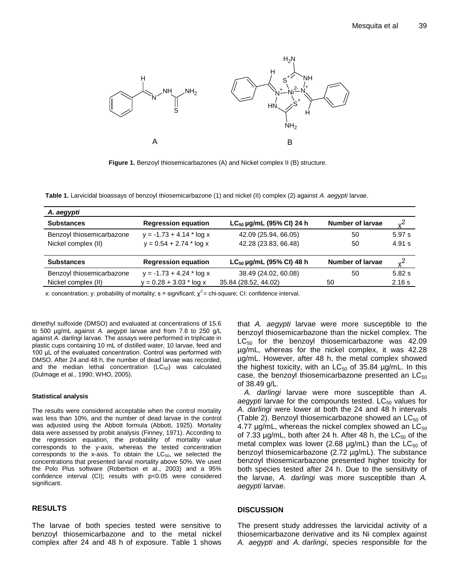

**Figure 1.** Benzoyl thiosemicarbazones (A) and Nickel complex II (B) structure.

**Table 1.** Larvicidal bioassays of benzoyl thiosemicarbazone (1) and nickel (II) complex (2) against *A. aegypti* larvae.

| A. aegypti                |                            |                               |                         |        |
|---------------------------|----------------------------|-------------------------------|-------------------------|--------|
| <b>Substances</b>         | <b>Regression equation</b> | $LC_{50}$ µg/mL (95% CI) 24 h | Number of larvae        |        |
| Benzoyl thiosemicarbazone | $y = -1.73 + 4.14 * log x$ | 42.09 (25.94, 66.05)          | 50                      | 5.97 s |
| Nickel complex (II)       | $y = 0.54 + 2.74$ * log x  | 42.28 (23.83, 66.48)          | 50                      | 4.91 s |
| <b>Substances</b>         | <b>Regression equation</b> | $LC_{50}$ µg/mL (95% CI) 48 h | <b>Number of larvae</b> | 2ں     |
| Benzoyl thiosemicarbazone | $y = -1.73 + 4.24$ * log x | 38.49 (24.02, 60.08)          | 50                      | 5.82 s |
| Nickel complex (II)       | $y = 0.28 + 3.03 * log x$  | 35.84 (28.52, 44.02)          | 50                      | 2.16 s |

x: concentration; y: probability of mortality;  $s =$  significant;  $\chi^2 =$  chi-square; CI: confidence interval.

dimethyl sulfoxide (DMSO) and evaluated at concentrations of 15.6 to 500 µg/mL against *A. aegypti* larvae and from 7.8 to 250 g/L against *A. darlingi* larvae*.* The assays were performed in triplicate in plastic cups containing 10 mL of distilled water, 10 larvae, feed and 100 μL of the evaluated concentration. Control was performed with DMSO. After 24 and 48 h, the number of dead larvae was recorded, and the median lethal concentration  $(LC_{50})$  was calculated (Dulmage et al., 1990; WHO, 2005).

#### **Statistical analysis**

The results were considered acceptable when the control mortality was less than 10%, and the number of dead larvae in the control was adjusted using the Abbott formula (Abbott, 1925). Mortality data were assessed by probit analysis (Finney, 1971). According to the regression equation, the probability of mortality value corresponds to the y-axis, whereas the tested concentration corresponds to the x-axis. To obtain the  $LC_{50}$ , we selected the concentrations that presented larval mortality above 50%. We used the Polo Plus software (Robertson et al., 2003) and a 95% confidence interval (CI); results with p<0.05 were considered significant.

## **RESULTS**

The larvae of both species tested were sensitive to benzoyl thiosemicarbazone and to the metal nickel complex after 24 and 48 h of exposure. Table 1 shows that *A. aegypti* larvae were more susceptible to the benzoyl thiosemicarbazone than the nickel complex. The  $LC_{50}$  for the benzoyl thiosemicarbazone was 42.09 µg/mL, whereas for the nickel complex, it was 42.28 µg/mL. However, after 48 h, the metal complex showed the highest toxicity, with an  $LC_{50}$  of 35.84  $\mu$ g/mL. In this case, the benzoyl thiosemicarbazone presented an  $LC_{50}$ of 38.49 g/L.

*A. darlingi* larvae were more susceptible than *A.*  aegypti larvae for the compounds tested. LC<sub>50</sub> values for *A. darlingi* were lower at both the 24 and 48 h intervals (Table 2). Benzoyl thiosemicarbazone showed an  $LC_{50}$  of 4.77  $\mu$ g/mL, whereas the nickel complex showed an LC $_{50}$ of 7.33  $\mu$ g/mL, both after 24 h. After 48 h, the LC $_{50}$  of the metal complex was lower (2.68  $\mu$ g/mL) than the LC<sub>50</sub> of benzoyl thiosemicarbazone (2.72 µg/mL). The substance benzoyl thiosemicarbazone presented higher toxicity for both species tested after 24 h. Due to the sensitivity of the larvae, *A. darlingi* was more susceptible than *A. aegypti* larvae.

## **DISCUSSION**

The present study addresses the larvicidal activity of a thiosemicarbazone derivative and its Ni complex against *A. aegypti* and *A. darlingi*, species responsible for the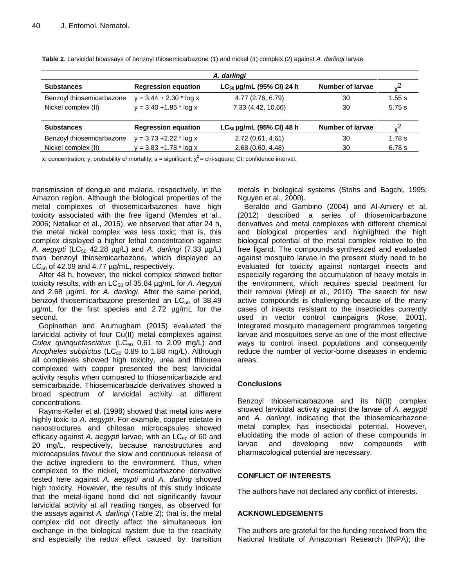| A. darlingi               |                            |                               |                  |        |  |  |
|---------------------------|----------------------------|-------------------------------|------------------|--------|--|--|
| <b>Substances</b>         | <b>Regression equation</b> | $LC_{50}$ µg/mL (95% CI) 24 h | Number of larvae |        |  |  |
| Benzoyl thiosemicarbazone | $y = 3.44 + 2.30 * log x$  | 4.77 (2.76, 6.79)             | 30               | 1.55 s |  |  |
| Nickel complex (II)       | $y = 3.40 + 1.85$ * log x  | 7.33 (4.42, 10.66)            | 30               | 5.75 s |  |  |
| <b>Substances</b>         | <b>Regression equation</b> | $LC_{50}$ µg/mL (95% CI) 48 h | Number of larvae |        |  |  |
| Benzoyl thiosemicarbazone | $y = 3.73 + 2.22 * log x$  | 2.72(0.61, 4.61)              | 30               | 1.78 s |  |  |
| Nickel complex (II)       | $y = 3.83 + 1.78$ * log x  | 2.68 (0.60, 4.48)             | 30               | 6.78 s |  |  |

**Table 2**. Larvicidal bioassays of benzoyl thiosemicarbazone (1) and nickel (II) complex (2) against *A. darlingi* larvae.

x: concentration; y: probability of mortality; s = significant;  $\chi^2$  = chi-square; CI: confidence interval.

transmission of dengue and malaria, respectively, in the Amazon region. Although the biological properties of the metal complexes of thiosemicarbazones have high toxicity associated with the free ligand (Mendes et al., 2006; Netalkar et al., 2015), we observed that after 24 h, the metal nickel complex was less toxic; that is, this complex displayed a higher lethal concentration against *A. aegypti* (LC<sub>50</sub> 42.28 μg/L) and *A. darlingi* (7.33 μg/L) than benzoyl thiosemicarbazone, which displayed an  $LC_{50}$  of 42.09 and 4.77  $\mu$ g/mL, respectively.

After 48 h, however, the nickel complex showed better toxicity results, with an LC<sub>50</sub> of 35.84 µg/mL for *A. Aegypti* and 2.68 µg/mL for *A. darlingi*. After the same period, benzoyl thiosemicarbazone presented an  $LC_{50}$  of 38.49 µg/mL for the first species and 2.72 µg/mL for the second.

Gopinathan and Arumugham (2015) evaluated the larvicidal activity of four Cu(II) metal complexes against *Culex quinquefasciatus* (LC<sub>50</sub> 0.61 to 2.09 mg/L) and Anopheles subpictus (LC<sub>50</sub> 0.89 to 1.88 mg/L). Although all complexes showed high toxicity, urea and thiourea complexed with copper presented the best larvicidal activity results when compared to thiosemicarbazide and semicarbazide. Thiosemicarbazide derivatives showed a broad spectrum of larvicidal activity at different concentrations.

Rayms-Keller et al. (1998) showed that metal ions were highly toxic to *A. aegypti*. For example, copper edetate in nanostructures and chitosan microcapsules showed efficacy against A. aegypti larvae, with an LC<sub>90</sub> of 60 and 20 mg/L, respectively, because nanostructures and microcapsules favour the slow and continuous release of the active ingredient to the environment. Thus, when complexed to the nickel, thiosemicarbazone derivative tested here against *A. aegypti* and *A. darling* showed high toxicity. However, the results of this study indicate that the metal-ligand bond did not significantly favour larvicidal activity at all reading ranges, as observed for the assays against *A. darlingi* (Table 2); that is, the metal complex did not directly affect the simultaneous ion exchange in the biological system due to the reactivity and especially the redox effect caused by transition metals in biological systems (Stohs and Bagchi, 1995; Nguyen et al., 2000).

Beraldo and Gambino (2004) and Al-Amiery et al. (2012) described a series of thiosemicarbazone derivatives and metal complexes with different chemical and biological properties and highlighted the high biological potential of the metal complex relative to the free ligand. The compounds synthesized and evaluated against mosquito larvae in the present study need to be evaluated for toxicity against nontarget insects and especially regarding the accumulation of heavy metals in the environment, which requires special treatment for their removal (Mireji et al., 2010). The search for new active compounds is challenging because of the many cases of insects resistant to the insecticides currently used in vector control campaigns (Rose, 2001). Integrated mosquito management programmes targeting larvae and mosquitoes serve as one of the most effective ways to control insect populations and consequently reduce the number of vector-borne diseases in endemic areas.

## **Conclusions**

Benzoyl thiosemicarbazone and its Ni(II) complex showed larvicidal activity against the larvae of *A. aegypti* and *A. darlingi*, indicating that the thiosemicarbazone metal complex has insecticidal potential. However, elucidating the mode of action of these compounds in larvae and developing new compounds with pharmacological potential are necessary.

## **CONFLICT OF INTERESTS**

The authors have not declared any conflict of interests.

## **ACKNOWLEDGEMENTS**

The authors are grateful for the funding received from the National Institute of Amazonian Research (INPA); the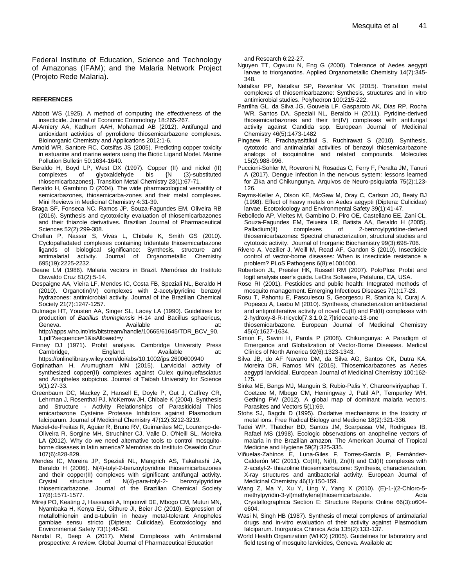Federal Institute of Education, Science and Technology of Amazonas (IFAM); and the Malaria Network Project (Projeto Rede Malaria).

#### **REFERENCES**

- Abbott WS (1925). A method of computing the effectiveness of the insecticide. Journal of Economic Entomology 18:265-267.
- Al-Amiery AA, Kadhum AAH, Mohamad AB (2012). Antifungal and antioxidant activities of pyrrolidone thiosemicarbazone complexes. Bioinorganic Chemistry and Applications 2012:1-6.
- Arnold WR, Santore RC, Cotsifas JS (2005). Predicting copper toxicity in estuarine and marine waters using the Biotic Ligand Model. Marine Pollution Bulletin 50:1634-1640.
- Beraldo H, Boyd LP, West DX (1997). Copper (II) and nickel (II) complexes of glyoxaldehyde bis {N (3)-substituted thiosemicarbazones}. Transition Metal Chemistry 23(1):67-71.
- Beraldo H, Gambino D (2004). The wide pharmacological versatility of semicarbazones, thiosemicarba-zones and their metal complexes. Mini Reviews in Medicinal Chemistry 4:31-39.
- Braga SF, Fonseca NC, Ramos JP, Souza-Fagundes EM, Oliveira RB (2016). Synthesis and cytotoxicity evaluation of thiosemicarbazones and their thiazole derivatives. Brazilian Journal of Pharmaceutical Sciences 52(2):299-308.
- Chellan P, Nasser S, Vivas L, Chibale K, Smith GS (2010). Cyclopalladated complexes containing tridentate thiosemicarbazone ligands of biological significance: Synthesis, structure and<br>antimalarial activity. Journal of Organometallic Chemistry antimalarial activity. Journal of 695(19):2225-2232.
- Deane LM (1986). Malaria vectors in Brazil. Memórias do Instituto Oswaldo Cruz 81(2):5-14.
- Despaigne AA, Vieira LF, Mendes IC, Costa FB, Speziali NL, Beraldo H (2010). Organotin(IV) complexes with 2-acetylpyridine benzoyl hydrazones: antimicrobial activity. Journal of the Brazilian Chemical Society 21(7):1247-1257.
- Dulmage HT, Yousten AA, Singer SL, Lacey LA (1990). Guidelines for production of *Bacillus thuringiensis* H-14 and Bacillus sphaericus, Geneva. **Available** at: http://apps.who.int/iris/bitstream/handle/10665/61645/TDR\_BCV\_90. 1.pdf?sequence=1&isAllowed=y
- Finney DJ (1971). Probit analysis. Cambridge University Press Cambridge, England. Available at: https://onlinelibrary.wiley.com/doi/abs/10.1002/jps.2600600940
- Gopinathan H, Arumugham MN (2015). Larvicidal activity of synthesized copper(II) complexes against Culex quinquefasciatus and Anopheles subpictus. Journal of Taibah University for Science 9(1):27-33.
- Greenbaum DC, Mackey Z, Hansell E, Doyle P, Gut J, Caffrey CR, Lehrman J, Rosenthal PJ, McKerrow JH, Chibale K (2004). Synthesis and Structure - Activity Relationships of Parasiticidal Thios emicarbazone Cysteine Protease Inhibitors against Plasmodium falciparum. Journal of Medicinal Chemistry 47(12):3212-3219.
- Maciel-de-Freitas R, Aguiar R, Bruno RV, Guimarães MC, Lourenço-de-Oliveira R, Sorgine MH, Struchiner CJ, Valle D, O'Neill SL, Moreira LA (2012). Why do we need alternative tools to control mosquitoborne diseases in latin america? Memórias do Instituto Oswaldo Cruz 107(6):828-829.
- Mendes IC, Moreira JP, Speziali NL, Mangrich AS, Takahashi JA, Beraldo H (2006). N(4)-tolyl-2-benzoylpyridine thiosemicarbazones and their copper(II) complexes with significant antifungal activity. Crystal structure of N(4)-para-tolyl-2- benzoylpyridine thiosemicarbazone. Journal of the Brazilian Chemical Society 17(8):1571-1577.
- Mireji PO, Keating J, Hassanali A, Impoinvil DE, Mbogo CM, Muturi MN, Nyambaka H, Kenya EU, Githure JI, Beier JC (2010). Expression of metallothionein and α-tubulin in heavy metal-tolerant Anopheles gambiae sensu stricto (Diptera: Culicidae). Ecotoxicology and Environmental Safety 73(1):46-50.
- Nandal R, Deep A (2017). Metal Complexes with Antimalarial prospective: A review. Global Journal of Pharmaceutical Education

and Research 6:22-27.

- Nguyen TT, Ogwuru N, Eng G (2000). Tolerance of Aedes aegypti larvae to triorganotins. Applied Organometallic Chemistry 14(7):345- 348.
- Netalkar PP, Netalkar SP, Revankar VK (2015). Transition metal complexes of thiosemicarbazone: Synthesis, structures and in vitro antimicrobial studies. Polyhedron 100:215-222.
- Parrilha GL, da Silva JG, Gouveia LF, Gasparoto AK, Dias RP, Rocha WR, Santos DA, Speziali NL, Beraldo H (2011). Pyridine-derived thiosemicarbazones and their tin(IV) complexes with antifungal activity against Candida spp. European Journal of Medicinal Chemistry 46(5):1473-1482
- Pingaew R, Prachayasittikul S, Ruchirawat S (2010). Synthesis, cytotoxic and antimalarial activities of benzoyl thiosemicarbazone analogs of isoquinoline and related compounds. Molecules 15(2):988-996.
- Puccioni-Sohler M, Roveroni N, Rosadas C, Ferry F, Peralta JM, Tanuri A (2017). Dengue infection in the nervous system: lessons learned for Zika and Chikungunya. Arquivos de Neuro-psiquiatria 75(2):123- 126.
- Rayms-Keller A, Olson KE, McGaw M, Oray C, Carlson JO, Beaty BJ (1998). Effect of heavy metals on Aedes aegypti (Diptera: Culicidae) larvae. Ecotoxicology and Environmental Safety 39(1):41-47.
- Rebolledo AP, Vieites M, Gambino D, Piro OE, Castellano EE, Zani CL, Souza-Fagundes EM, Teixeira LR, Batista AA, Beraldo H (2005). Palladium(II) complexes of 2-benzoylpyridine-derived thiosemicarbazones: Spectral characterization, structural studies and cytotoxic activity. Journal of Inorganic Biochemistry 99(3):698-706.
- Rivero A, Vezilier J, Weill M, Read AF, Gandon S (2010). Insecticide control of vector-borne diseases: When is insecticide resistance a problem? PLoS Pathogens 6(8):e1001000.
- Robertson JL, Preisler HK, Russell RM (2007). PoloPlus: Probit and logit analysis user's guide. LeOra Software, Petaluna, CA, USA.
- Rose RI (2001). Pesticides and public health: Integrated methods of mosquito management. Emerging Infectious Diseases 7(1):17-23.
- Rosu T, Pahontu E, Pasculescu S, Georgescu R, Stanica N, Curaj A, Popescu A, Leabu M (2010). Synthesis, characterization antibacterial and antiproliferative activity of novel Cu(II) and Pd(II) complexes with 2-hydroxy-8-R-tricyclo[7.3.1.0.2,7]tridecane-13-one thiosemicarbazone. European Journal of Medicinal Chemistry

45(4):1627-1634.

- Simon F, Savini H, Parola P (2008). Chikungunya: A Paradigm of Emergence and Globalization of Vector-Borne Diseases. Medical Clinics of North America 92(6):1323-1343.
- Silva JB, do AF Navarro DM, da Silva AG, Santos GK, Dutra KA, Moreira DR, Ramos MN (2015). Thiosemicarbazones as Aedes aegypti larvicidal. European Journal of Medicinal Chemistry 100:162- 175.
- Sinka ME, Bangs MJ, Manguin S, Rubio-Palis Y, Chareonviriyaphap T, Coetzee M, Mbogo CM, Hemingway J, Patil AP, Temperley WH, Gething PW (2012). A global map of dominant malaria vectors. Parasites and Vectors 5(1):69.
- Stohs SJ, Bagchi D (1995). Oxidative mechanisms in the toxicity of metal ions. Free Radical Biology and Medicine 18(2):321-336.
- Tadei WP, Thatcher BD, Santos JM, Scarpassa VM, Rodrigues IB, Rafael MS (1998). Ecologic observations on anopheline vectors of malaria in the Brazilian amazon. The American Journal of Tropical Medicine and Hygiene 59(2):325-335.
- Viñuelas-Zahínos E, Luna-Giles F, Torres-García P, Fernández-Calderón MC (2011). Co(III), Ni(II), Zn(II) and Cd(II) complexes with 2-acetyl-2- thiazoline thiosemicarbazone: Synthesis, characterization, X-ray structures and antibacterial activity. European Journal of Medicinal Chemistry 46(1):150-159.
- Wang Z, Ma Y, Xu Y, Ling Y, Yang X (2010). (E)-1-[(2-Chloro-5 methylpyridin-3-yl)methylene]thiosemicarbazide. Acta Crystallographica Section E: Structure Reports Online 66(3):o604 o604.
- Wasi N, Singh HB (1987). Synthesis of metal complexes of antimalarial drugs and in-vitro evaluation of their activity against Plasmodium falciparum. Inorganica Chimica Acta 135(2):133-137.
- World Health Organization (WHO) (2005). Guidelines for laboratory and field testing of mosquito larvicides, Geneva. Available at: